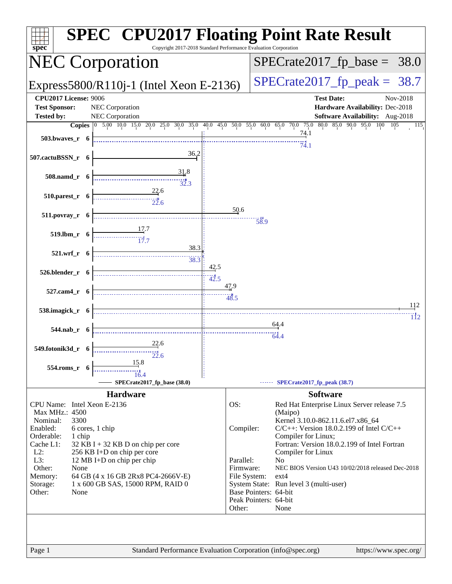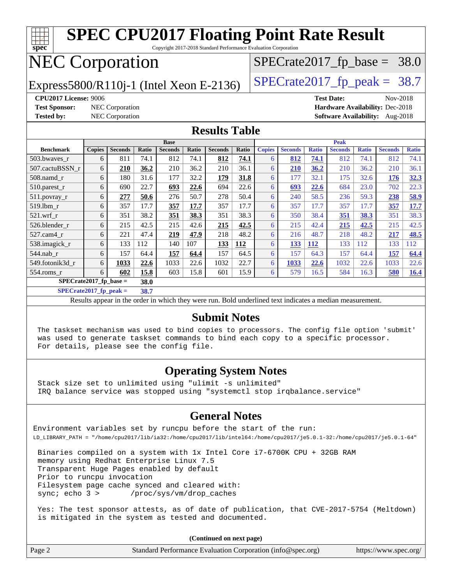

**[SPECrate2017\\_fp\\_peak =](http://www.spec.org/auto/cpu2017/Docs/result-fields.html#SPECrate2017fppeak) 38.7**

Results appear in the [order in which they were run.](http://www.spec.org/auto/cpu2017/Docs/result-fields.html#RunOrder) Bold underlined text [indicates a median measurement.](http://www.spec.org/auto/cpu2017/Docs/result-fields.html#Median)

#### **[Submit Notes](http://www.spec.org/auto/cpu2017/Docs/result-fields.html#SubmitNotes)**

 The taskset mechanism was used to bind copies to processors. The config file option 'submit' was used to generate taskset commands to bind each copy to a specific processor. For details, please see the config file.

#### **[Operating System Notes](http://www.spec.org/auto/cpu2017/Docs/result-fields.html#OperatingSystemNotes)**

 Stack size set to unlimited using "ulimit -s unlimited" IRQ balance service was stopped using "systemctl stop irqbalance.service"

#### **[General Notes](http://www.spec.org/auto/cpu2017/Docs/result-fields.html#GeneralNotes)**

Environment variables set by runcpu before the start of the run: LD\_LIBRARY\_PATH = "/home/cpu2017/lib/ia32:/home/cpu2017/lib/intel64:/home/cpu2017/je5.0.1-32:/home/cpu2017/je5.0.1-64"

 Binaries compiled on a system with 1x Intel Core i7-6700K CPU + 32GB RAM memory using Redhat Enterprise Linux 7.5 Transparent Huge Pages enabled by default Prior to runcpu invocation Filesystem page cache synced and cleared with: sync; echo 3 > /proc/sys/vm/drop\_caches

 Yes: The test sponsor attests, as of date of publication, that CVE-2017-5754 (Meltdown) is mitigated in the system as tested and documented.

**(Continued on next page)**

|  | Page 2 | Standard Performance Evaluation Corporation (info@spec.org) | https://www.spec.org/ |
|--|--------|-------------------------------------------------------------|-----------------------|
|--|--------|-------------------------------------------------------------|-----------------------|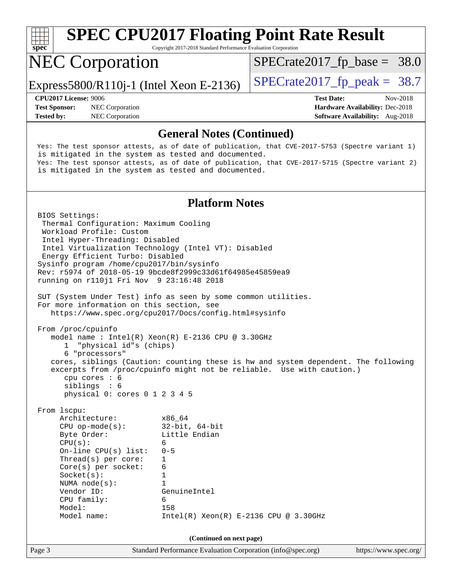

 CPU family: 6 Model: 158

Page 3 Standard Performance Evaluation Corporation [\(info@spec.org\)](mailto:info@spec.org) <https://www.spec.org/> **(Continued on next page)**

Model name: Intel(R) Xeon(R) E-2136 CPU @ 3.30GHz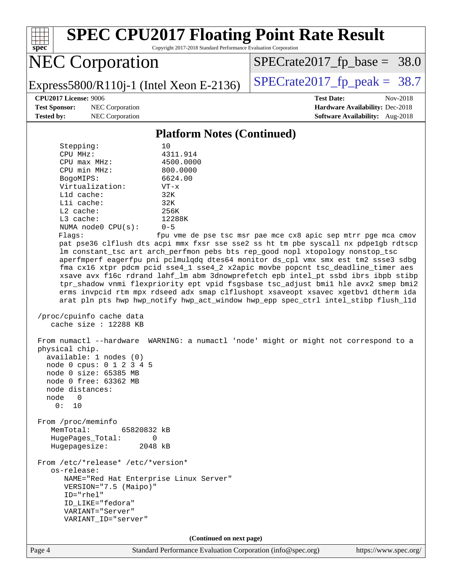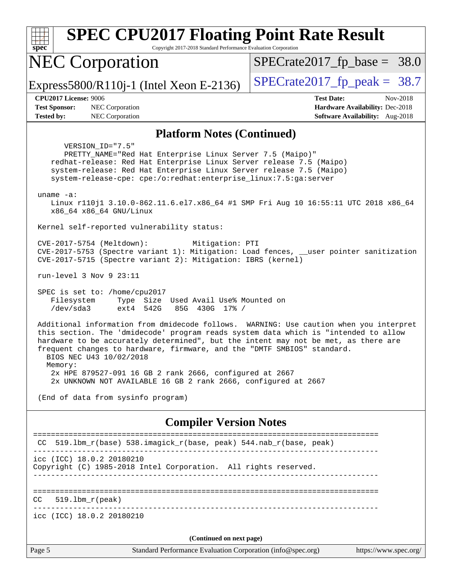| <b>SPEC CPU2017 Floating Point Rate Result</b><br>Copyright 2017-2018 Standard Performance Evaluation Corporation<br>spec <sup>®</sup>                                                                                                                                                                                                                                                                                                                                                                            |                                                                                                     |
|-------------------------------------------------------------------------------------------------------------------------------------------------------------------------------------------------------------------------------------------------------------------------------------------------------------------------------------------------------------------------------------------------------------------------------------------------------------------------------------------------------------------|-----------------------------------------------------------------------------------------------------|
| <b>NEC Corporation</b>                                                                                                                                                                                                                                                                                                                                                                                                                                                                                            | $SPECrate2017_fp\_base = 38.0$                                                                      |
| Express5800/R110j-1 (Intel Xeon E-2136)                                                                                                                                                                                                                                                                                                                                                                                                                                                                           | $SPECrate2017_fp\_peak = 38.7$                                                                      |
| <b>CPU2017 License: 9006</b><br>NEC Corporation<br><b>Test Sponsor:</b><br>NEC Corporation<br><b>Tested by:</b>                                                                                                                                                                                                                                                                                                                                                                                                   | <b>Test Date:</b><br>Nov-2018<br>Hardware Availability: Dec-2018<br>Software Availability: Aug-2018 |
| <b>Platform Notes (Continued)</b>                                                                                                                                                                                                                                                                                                                                                                                                                                                                                 |                                                                                                     |
| VERSION_ID="7.5"<br>PRETTY_NAME="Red Hat Enterprise Linux Server 7.5 (Maipo)"<br>redhat-release: Red Hat Enterprise Linux Server release 7.5 (Maipo)<br>system-release: Red Hat Enterprise Linux Server release 7.5 (Maipo)<br>system-release-cpe: cpe:/o:redhat:enterprise_linux:7.5:ga:server<br>uname $-a$ :<br>Linux r110j1 3.10.0-862.11.6.el7.x86_64 #1 SMP Fri Aug 10 16:55:11 UTC 2018 x86_64<br>x86_64 x86_64 GNU/Linux                                                                                  |                                                                                                     |
| Kernel self-reported vulnerability status:                                                                                                                                                                                                                                                                                                                                                                                                                                                                        |                                                                                                     |
| CVE-2017-5754 (Meltdown):<br>Mitigation: PTI<br>CVE-2017-5753 (Spectre variant 1): Mitigation: Load fences, __user pointer sanitization<br>CVE-2017-5715 (Spectre variant 2): Mitigation: IBRS (kernel)                                                                                                                                                                                                                                                                                                           |                                                                                                     |
| run-level $3$ Nov $9$ $23:11$                                                                                                                                                                                                                                                                                                                                                                                                                                                                                     |                                                                                                     |
| SPEC is set to: /home/cpu2017<br>Filesystem<br>Type Size Used Avail Use% Mounted on<br>/dev/sda3<br>ext4 542G<br>85G 430G 17% /                                                                                                                                                                                                                                                                                                                                                                                   |                                                                                                     |
| Additional information from dmidecode follows. WARNING: Use caution when you interpret<br>this section. The 'dmidecode' program reads system data which is "intended to allow<br>hardware to be accurately determined", but the intent may not be met, as there are<br>frequent changes to hardware, firmware, and the "DMTF SMBIOS" standard.<br>BIOS NEC U43 10/02/2018<br>Memory:<br>2x HPE 879527-091 16 GB 2 rank 2666, configured at 2667<br>2x UNKNOWN NOT AVAILABLE 16 GB 2 rank 2666, configured at 2667 |                                                                                                     |
| (End of data from sysinfo program)                                                                                                                                                                                                                                                                                                                                                                                                                                                                                |                                                                                                     |
| <b>Compiler Version Notes</b>                                                                                                                                                                                                                                                                                                                                                                                                                                                                                     |                                                                                                     |
| 519.1bm_r(base) 538.imagick_r(base, peak) 544.nab_r(base, peak)<br>CC.                                                                                                                                                                                                                                                                                                                                                                                                                                            |                                                                                                     |
| icc (ICC) 18.0.2 20180210<br>Copyright (C) 1985-2018 Intel Corporation. All rights reserved.                                                                                                                                                                                                                                                                                                                                                                                                                      |                                                                                                     |
| $519.1bm_r(peak)$<br>CC                                                                                                                                                                                                                                                                                                                                                                                                                                                                                           |                                                                                                     |
| icc (ICC) 18.0.2 20180210                                                                                                                                                                                                                                                                                                                                                                                                                                                                                         |                                                                                                     |
| (Continued on next page)                                                                                                                                                                                                                                                                                                                                                                                                                                                                                          |                                                                                                     |
| Page 5<br>Standard Performance Evaluation Corporation (info@spec.org)                                                                                                                                                                                                                                                                                                                                                                                                                                             | https://www.spec.org/                                                                               |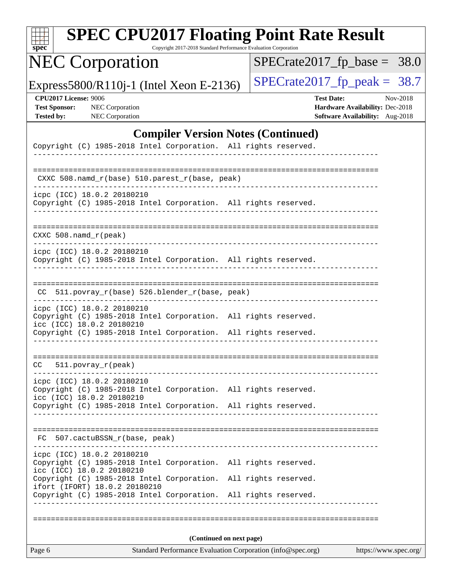| spec                                                                      | <b>SPEC CPU2017 Floating Point Rate Result</b>                                                                                                                                                | Copyright 2017-2018 Standard Performance Evaluation Corporation                         |                      |                   |                                                                    |                       |
|---------------------------------------------------------------------------|-----------------------------------------------------------------------------------------------------------------------------------------------------------------------------------------------|-----------------------------------------------------------------------------------------|----------------------|-------------------|--------------------------------------------------------------------|-----------------------|
|                                                                           | <b>NEC Corporation</b>                                                                                                                                                                        |                                                                                         |                      |                   | $SPECrate2017_fp\_base = 38.0$                                     |                       |
|                                                                           | Express5800/R110j-1 (Intel Xeon E-2136)                                                                                                                                                       |                                                                                         |                      |                   | $SPECrate2017_fp\_peak = 38.7$                                     |                       |
| <b>CPU2017 License: 9006</b><br><b>Test Sponsor:</b><br><b>Tested by:</b> | NEC Corporation<br>NEC Corporation                                                                                                                                                            |                                                                                         |                      | <b>Test Date:</b> | Hardware Availability: Dec-2018<br>Software Availability: Aug-2018 | Nov-2018              |
|                                                                           |                                                                                                                                                                                               | <b>Compiler Version Notes (Continued)</b>                                               |                      |                   |                                                                    |                       |
|                                                                           | Copyright (C) 1985-2018 Intel Corporation. All rights reserved.                                                                                                                               |                                                                                         |                      |                   |                                                                    |                       |
|                                                                           | $CXXC 508.namd_r(base) 510.parest_r(base, peak)$                                                                                                                                              |                                                                                         |                      |                   |                                                                    |                       |
|                                                                           | icpc (ICC) 18.0.2 20180210<br>Copyright (C) 1985-2018 Intel Corporation. All rights reserved.                                                                                                 |                                                                                         |                      |                   |                                                                    |                       |
| $CXXC 508.namd_r (peak)$                                                  |                                                                                                                                                                                               |                                                                                         |                      |                   |                                                                    |                       |
|                                                                           | icpc (ICC) 18.0.2 20180210<br>Copyright (C) 1985-2018 Intel Corporation. All rights reserved.                                                                                                 |                                                                                         |                      |                   |                                                                    |                       |
|                                                                           | CC 511.povray_r(base) 526.blender_r(base, peak)                                                                                                                                               |                                                                                         |                      |                   |                                                                    |                       |
|                                                                           | icpc (ICC) 18.0.2 20180210<br>Copyright (C) 1985-2018 Intel Corporation. All rights reserved.<br>icc (ICC) 18.0.2 20180210<br>Copyright (C) 1985-2018 Intel Corporation. All rights reserved. |                                                                                         |                      |                   |                                                                    |                       |
| CC.                                                                       | 511.povray_r(peak)                                                                                                                                                                            |                                                                                         |                      |                   | =============================                                      |                       |
|                                                                           | icpc (ICC) 18.0.2 20180210<br>Copyright (C) 1985-2018 Intel Corporation. All rights reserved.<br>icc (ICC) 18.0.2 20180210<br>Copyright (C) 1985-2018 Intel Corporation. All rights reserved. |                                                                                         |                      |                   |                                                                    |                       |
|                                                                           | FC 507.cactuBSSN_r(base, peak)                                                                                                                                                                |                                                                                         |                      |                   |                                                                    |                       |
|                                                                           | ------------------------------<br>icpc (ICC) 18.0.2 20180210<br>Copyright (C) 1985-2018 Intel Corporation. All rights reserved.<br>icc (ICC) 18.0.2 20180210                                  |                                                                                         |                      |                   |                                                                    |                       |
|                                                                           | Copyright (C) 1985-2018 Intel Corporation.<br>ifort (IFORT) 18.0.2 20180210<br>Copyright (C) 1985-2018 Intel Corporation. All rights reserved.                                                |                                                                                         | All rights reserved. |                   |                                                                    |                       |
|                                                                           |                                                                                                                                                                                               |                                                                                         |                      |                   |                                                                    |                       |
| Page 6                                                                    |                                                                                                                                                                                               | (Continued on next page)<br>Standard Performance Evaluation Corporation (info@spec.org) |                      |                   |                                                                    | https://www.spec.org/ |
|                                                                           |                                                                                                                                                                                               |                                                                                         |                      |                   |                                                                    |                       |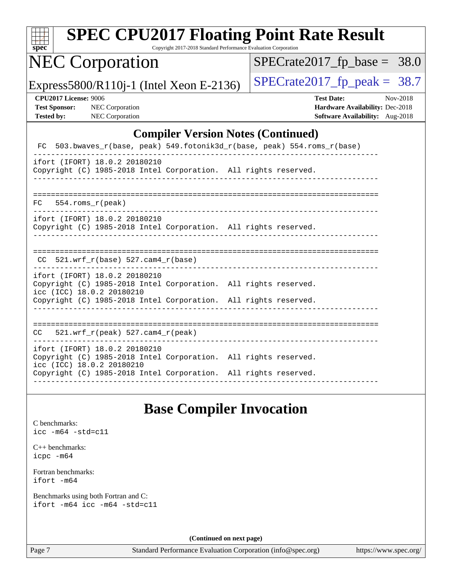|  | spe | U |  |
|--|-----|---|--|

Copyright 2017-2018 Standard Performance Evaluation Corporation

## NEC Corporation

Express5800/R110j-1 (Intel Xeon E-2136) [SPECrate2017\\_fp\\_peak =](http://www.spec.org/auto/cpu2017/Docs/result-fields.html#SPECrate2017fppeak)  $38.7$ 

 $SPECrate2017_fp\_base = 38.0$ 

| <b>CPU2017 License: 9006</b> |  |  |  |
|------------------------------|--|--|--|
|------------------------------|--|--|--|

**[CPU2017 License:](http://www.spec.org/auto/cpu2017/Docs/result-fields.html#CPU2017License)** 9006 **[Test Date:](http://www.spec.org/auto/cpu2017/Docs/result-fields.html#TestDate)** Nov-2018 **[Test Sponsor:](http://www.spec.org/auto/cpu2017/Docs/result-fields.html#TestSponsor)** NEC Corporation **[Hardware Availability:](http://www.spec.org/auto/cpu2017/Docs/result-fields.html#HardwareAvailability)** Dec-2018 **[Tested by:](http://www.spec.org/auto/cpu2017/Docs/result-fields.html#Testedby)** NEC Corporation **[Software Availability:](http://www.spec.org/auto/cpu2017/Docs/result-fields.html#SoftwareAvailability)** Aug-2018

#### **[Compiler Version Notes \(Continued\)](http://www.spec.org/auto/cpu2017/Docs/result-fields.html#CompilerVersionNotes)**

|                                                                                                                                                                                                  | FC 503.bwaves_r(base, peak) 549.fotonik3d_r(base, peak) 554.roms_r(base) |
|--------------------------------------------------------------------------------------------------------------------------------------------------------------------------------------------------|--------------------------------------------------------------------------|
| ifort (IFORT) 18.0.2 20180210<br>Copyright (C) 1985-2018 Intel Corporation. All rights reserved.                                                                                                 |                                                                          |
| $FC$ 554. roms $r$ (peak)                                                                                                                                                                        |                                                                          |
| ifort (IFORT) 18.0.2 20180210<br>Copyright (C) 1985-2018 Intel Corporation. All rights reserved.                                                                                                 |                                                                          |
| CC $521.wrf r(base) 527.cam4 r(base)$                                                                                                                                                            |                                                                          |
| ifort (IFORT) 18.0.2 20180210<br>Copyright (C) 1985-2018 Intel Corporation. All rights reserved.<br>icc (ICC) 18.0.2 20180210<br>Copyright (C) 1985-2018 Intel Corporation. All rights reserved. |                                                                          |
| $CC = 521.wrf_r(peak) 527.cam4_r(peak)$                                                                                                                                                          |                                                                          |
| ifort (IFORT) 18.0.2 20180210<br>Copyright (C) 1985-2018 Intel Corporation. All rights reserved.<br>icc (ICC) 18.0.2 20180210<br>Copyright (C) 1985-2018 Intel Corporation. All rights reserved. |                                                                          |

## **[Base Compiler Invocation](http://www.spec.org/auto/cpu2017/Docs/result-fields.html#BaseCompilerInvocation)**

[C benchmarks](http://www.spec.org/auto/cpu2017/Docs/result-fields.html#Cbenchmarks): [icc -m64 -std=c11](http://www.spec.org/cpu2017/results/res2018q4/cpu2017-20181210-10065.flags.html#user_CCbase_intel_icc_64bit_c11_33ee0cdaae7deeeab2a9725423ba97205ce30f63b9926c2519791662299b76a0318f32ddfffdc46587804de3178b4f9328c46fa7c2b0cd779d7a61945c91cd35)

[C++ benchmarks:](http://www.spec.org/auto/cpu2017/Docs/result-fields.html#CXXbenchmarks) [icpc -m64](http://www.spec.org/cpu2017/results/res2018q4/cpu2017-20181210-10065.flags.html#user_CXXbase_intel_icpc_64bit_4ecb2543ae3f1412ef961e0650ca070fec7b7afdcd6ed48761b84423119d1bf6bdf5cad15b44d48e7256388bc77273b966e5eb805aefd121eb22e9299b2ec9d9)

[Fortran benchmarks](http://www.spec.org/auto/cpu2017/Docs/result-fields.html#Fortranbenchmarks): [ifort -m64](http://www.spec.org/cpu2017/results/res2018q4/cpu2017-20181210-10065.flags.html#user_FCbase_intel_ifort_64bit_24f2bb282fbaeffd6157abe4f878425411749daecae9a33200eee2bee2fe76f3b89351d69a8130dd5949958ce389cf37ff59a95e7a40d588e8d3a57e0c3fd751)

[Benchmarks using both Fortran and C](http://www.spec.org/auto/cpu2017/Docs/result-fields.html#BenchmarksusingbothFortranandC): [ifort -m64](http://www.spec.org/cpu2017/results/res2018q4/cpu2017-20181210-10065.flags.html#user_CC_FCbase_intel_ifort_64bit_24f2bb282fbaeffd6157abe4f878425411749daecae9a33200eee2bee2fe76f3b89351d69a8130dd5949958ce389cf37ff59a95e7a40d588e8d3a57e0c3fd751) [icc -m64 -std=c11](http://www.spec.org/cpu2017/results/res2018q4/cpu2017-20181210-10065.flags.html#user_CC_FCbase_intel_icc_64bit_c11_33ee0cdaae7deeeab2a9725423ba97205ce30f63b9926c2519791662299b76a0318f32ddfffdc46587804de3178b4f9328c46fa7c2b0cd779d7a61945c91cd35)

**(Continued on next page)**

Page 7 Standard Performance Evaluation Corporation [\(info@spec.org\)](mailto:info@spec.org) <https://www.spec.org/>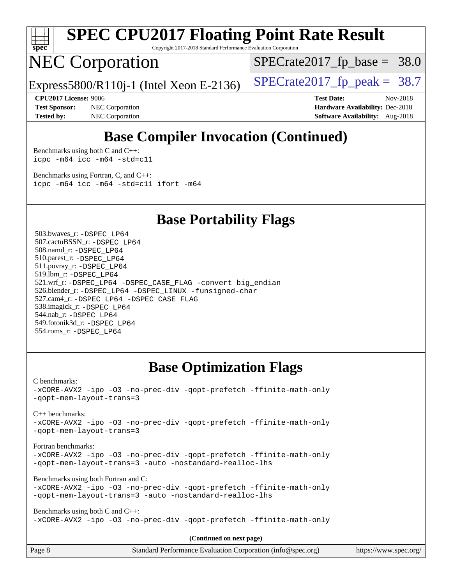

Copyright 2017-2018 Standard Performance Evaluation Corporation

## NEC Corporation

 $SPECTate2017_fp\_base = 38.0$ 

Express5800/R110j-1 (Intel Xeon E-2136)  $\vert$  [SPECrate2017\\_fp\\_peak =](http://www.spec.org/auto/cpu2017/Docs/result-fields.html#SPECrate2017fppeak) 38.7

**[Test Sponsor:](http://www.spec.org/auto/cpu2017/Docs/result-fields.html#TestSponsor)** NEC Corporation **[Hardware Availability:](http://www.spec.org/auto/cpu2017/Docs/result-fields.html#HardwareAvailability)** Dec-2018 **[Tested by:](http://www.spec.org/auto/cpu2017/Docs/result-fields.html#Testedby)** NEC Corporation **[Software Availability:](http://www.spec.org/auto/cpu2017/Docs/result-fields.html#SoftwareAvailability)** Aug-2018

**[CPU2017 License:](http://www.spec.org/auto/cpu2017/Docs/result-fields.html#CPU2017License)** 9006 **[Test Date:](http://www.spec.org/auto/cpu2017/Docs/result-fields.html#TestDate)** Nov-2018

## **[Base Compiler Invocation \(Continued\)](http://www.spec.org/auto/cpu2017/Docs/result-fields.html#BaseCompilerInvocation)**

[Benchmarks using both C and C++](http://www.spec.org/auto/cpu2017/Docs/result-fields.html#BenchmarksusingbothCandCXX): [icpc -m64](http://www.spec.org/cpu2017/results/res2018q4/cpu2017-20181210-10065.flags.html#user_CC_CXXbase_intel_icpc_64bit_4ecb2543ae3f1412ef961e0650ca070fec7b7afdcd6ed48761b84423119d1bf6bdf5cad15b44d48e7256388bc77273b966e5eb805aefd121eb22e9299b2ec9d9) [icc -m64 -std=c11](http://www.spec.org/cpu2017/results/res2018q4/cpu2017-20181210-10065.flags.html#user_CC_CXXbase_intel_icc_64bit_c11_33ee0cdaae7deeeab2a9725423ba97205ce30f63b9926c2519791662299b76a0318f32ddfffdc46587804de3178b4f9328c46fa7c2b0cd779d7a61945c91cd35)

[Benchmarks using Fortran, C, and C++:](http://www.spec.org/auto/cpu2017/Docs/result-fields.html#BenchmarksusingFortranCandCXX) [icpc -m64](http://www.spec.org/cpu2017/results/res2018q4/cpu2017-20181210-10065.flags.html#user_CC_CXX_FCbase_intel_icpc_64bit_4ecb2543ae3f1412ef961e0650ca070fec7b7afdcd6ed48761b84423119d1bf6bdf5cad15b44d48e7256388bc77273b966e5eb805aefd121eb22e9299b2ec9d9) [icc -m64 -std=c11](http://www.spec.org/cpu2017/results/res2018q4/cpu2017-20181210-10065.flags.html#user_CC_CXX_FCbase_intel_icc_64bit_c11_33ee0cdaae7deeeab2a9725423ba97205ce30f63b9926c2519791662299b76a0318f32ddfffdc46587804de3178b4f9328c46fa7c2b0cd779d7a61945c91cd35) [ifort -m64](http://www.spec.org/cpu2017/results/res2018q4/cpu2017-20181210-10065.flags.html#user_CC_CXX_FCbase_intel_ifort_64bit_24f2bb282fbaeffd6157abe4f878425411749daecae9a33200eee2bee2fe76f3b89351d69a8130dd5949958ce389cf37ff59a95e7a40d588e8d3a57e0c3fd751)

**[Base Portability Flags](http://www.spec.org/auto/cpu2017/Docs/result-fields.html#BasePortabilityFlags)**

 503.bwaves\_r: [-DSPEC\\_LP64](http://www.spec.org/cpu2017/results/res2018q4/cpu2017-20181210-10065.flags.html#suite_basePORTABILITY503_bwaves_r_DSPEC_LP64) 507.cactuBSSN\_r: [-DSPEC\\_LP64](http://www.spec.org/cpu2017/results/res2018q4/cpu2017-20181210-10065.flags.html#suite_basePORTABILITY507_cactuBSSN_r_DSPEC_LP64) 508.namd\_r: [-DSPEC\\_LP64](http://www.spec.org/cpu2017/results/res2018q4/cpu2017-20181210-10065.flags.html#suite_basePORTABILITY508_namd_r_DSPEC_LP64) 510.parest\_r: [-DSPEC\\_LP64](http://www.spec.org/cpu2017/results/res2018q4/cpu2017-20181210-10065.flags.html#suite_basePORTABILITY510_parest_r_DSPEC_LP64) 511.povray\_r: [-DSPEC\\_LP64](http://www.spec.org/cpu2017/results/res2018q4/cpu2017-20181210-10065.flags.html#suite_basePORTABILITY511_povray_r_DSPEC_LP64) 519.lbm\_r: [-DSPEC\\_LP64](http://www.spec.org/cpu2017/results/res2018q4/cpu2017-20181210-10065.flags.html#suite_basePORTABILITY519_lbm_r_DSPEC_LP64) 521.wrf\_r: [-DSPEC\\_LP64](http://www.spec.org/cpu2017/results/res2018q4/cpu2017-20181210-10065.flags.html#suite_basePORTABILITY521_wrf_r_DSPEC_LP64) [-DSPEC\\_CASE\\_FLAG](http://www.spec.org/cpu2017/results/res2018q4/cpu2017-20181210-10065.flags.html#b521.wrf_r_baseCPORTABILITY_DSPEC_CASE_FLAG) [-convert big\\_endian](http://www.spec.org/cpu2017/results/res2018q4/cpu2017-20181210-10065.flags.html#user_baseFPORTABILITY521_wrf_r_convert_big_endian_c3194028bc08c63ac5d04de18c48ce6d347e4e562e8892b8bdbdc0214820426deb8554edfa529a3fb25a586e65a3d812c835984020483e7e73212c4d31a38223) 526.blender\_r: [-DSPEC\\_LP64](http://www.spec.org/cpu2017/results/res2018q4/cpu2017-20181210-10065.flags.html#suite_basePORTABILITY526_blender_r_DSPEC_LP64) [-DSPEC\\_LINUX](http://www.spec.org/cpu2017/results/res2018q4/cpu2017-20181210-10065.flags.html#b526.blender_r_baseCPORTABILITY_DSPEC_LINUX) [-funsigned-char](http://www.spec.org/cpu2017/results/res2018q4/cpu2017-20181210-10065.flags.html#user_baseCPORTABILITY526_blender_r_force_uchar_40c60f00ab013830e2dd6774aeded3ff59883ba5a1fc5fc14077f794d777847726e2a5858cbc7672e36e1b067e7e5c1d9a74f7176df07886a243d7cc18edfe67) 527.cam4\_r: [-DSPEC\\_LP64](http://www.spec.org/cpu2017/results/res2018q4/cpu2017-20181210-10065.flags.html#suite_basePORTABILITY527_cam4_r_DSPEC_LP64) [-DSPEC\\_CASE\\_FLAG](http://www.spec.org/cpu2017/results/res2018q4/cpu2017-20181210-10065.flags.html#b527.cam4_r_baseCPORTABILITY_DSPEC_CASE_FLAG) 538.imagick\_r: [-DSPEC\\_LP64](http://www.spec.org/cpu2017/results/res2018q4/cpu2017-20181210-10065.flags.html#suite_basePORTABILITY538_imagick_r_DSPEC_LP64) 544.nab\_r: [-DSPEC\\_LP64](http://www.spec.org/cpu2017/results/res2018q4/cpu2017-20181210-10065.flags.html#suite_basePORTABILITY544_nab_r_DSPEC_LP64) 549.fotonik3d\_r: [-DSPEC\\_LP64](http://www.spec.org/cpu2017/results/res2018q4/cpu2017-20181210-10065.flags.html#suite_basePORTABILITY549_fotonik3d_r_DSPEC_LP64) 554.roms\_r: [-DSPEC\\_LP64](http://www.spec.org/cpu2017/results/res2018q4/cpu2017-20181210-10065.flags.html#suite_basePORTABILITY554_roms_r_DSPEC_LP64)

## **[Base Optimization Flags](http://www.spec.org/auto/cpu2017/Docs/result-fields.html#BaseOptimizationFlags)**

[C benchmarks](http://www.spec.org/auto/cpu2017/Docs/result-fields.html#Cbenchmarks):

[-xCORE-AVX2](http://www.spec.org/cpu2017/results/res2018q4/cpu2017-20181210-10065.flags.html#user_CCbase_f-xCORE-AVX2) [-ipo](http://www.spec.org/cpu2017/results/res2018q4/cpu2017-20181210-10065.flags.html#user_CCbase_f-ipo) [-O3](http://www.spec.org/cpu2017/results/res2018q4/cpu2017-20181210-10065.flags.html#user_CCbase_f-O3) [-no-prec-div](http://www.spec.org/cpu2017/results/res2018q4/cpu2017-20181210-10065.flags.html#user_CCbase_f-no-prec-div) [-qopt-prefetch](http://www.spec.org/cpu2017/results/res2018q4/cpu2017-20181210-10065.flags.html#user_CCbase_f-qopt-prefetch) [-ffinite-math-only](http://www.spec.org/cpu2017/results/res2018q4/cpu2017-20181210-10065.flags.html#user_CCbase_f_finite_math_only_cb91587bd2077682c4b38af759c288ed7c732db004271a9512da14a4f8007909a5f1427ecbf1a0fb78ff2a814402c6114ac565ca162485bbcae155b5e4258871) [-qopt-mem-layout-trans=3](http://www.spec.org/cpu2017/results/res2018q4/cpu2017-20181210-10065.flags.html#user_CCbase_f-qopt-mem-layout-trans_de80db37974c74b1f0e20d883f0b675c88c3b01e9d123adea9b28688d64333345fb62bc4a798493513fdb68f60282f9a726aa07f478b2f7113531aecce732043)

[C++ benchmarks:](http://www.spec.org/auto/cpu2017/Docs/result-fields.html#CXXbenchmarks)

[-xCORE-AVX2](http://www.spec.org/cpu2017/results/res2018q4/cpu2017-20181210-10065.flags.html#user_CXXbase_f-xCORE-AVX2) [-ipo](http://www.spec.org/cpu2017/results/res2018q4/cpu2017-20181210-10065.flags.html#user_CXXbase_f-ipo) [-O3](http://www.spec.org/cpu2017/results/res2018q4/cpu2017-20181210-10065.flags.html#user_CXXbase_f-O3) [-no-prec-div](http://www.spec.org/cpu2017/results/res2018q4/cpu2017-20181210-10065.flags.html#user_CXXbase_f-no-prec-div) [-qopt-prefetch](http://www.spec.org/cpu2017/results/res2018q4/cpu2017-20181210-10065.flags.html#user_CXXbase_f-qopt-prefetch) [-ffinite-math-only](http://www.spec.org/cpu2017/results/res2018q4/cpu2017-20181210-10065.flags.html#user_CXXbase_f_finite_math_only_cb91587bd2077682c4b38af759c288ed7c732db004271a9512da14a4f8007909a5f1427ecbf1a0fb78ff2a814402c6114ac565ca162485bbcae155b5e4258871) [-qopt-mem-layout-trans=3](http://www.spec.org/cpu2017/results/res2018q4/cpu2017-20181210-10065.flags.html#user_CXXbase_f-qopt-mem-layout-trans_de80db37974c74b1f0e20d883f0b675c88c3b01e9d123adea9b28688d64333345fb62bc4a798493513fdb68f60282f9a726aa07f478b2f7113531aecce732043)

[Fortran benchmarks](http://www.spec.org/auto/cpu2017/Docs/result-fields.html#Fortranbenchmarks):

[-xCORE-AVX2](http://www.spec.org/cpu2017/results/res2018q4/cpu2017-20181210-10065.flags.html#user_FCbase_f-xCORE-AVX2) [-ipo](http://www.spec.org/cpu2017/results/res2018q4/cpu2017-20181210-10065.flags.html#user_FCbase_f-ipo) [-O3](http://www.spec.org/cpu2017/results/res2018q4/cpu2017-20181210-10065.flags.html#user_FCbase_f-O3) [-no-prec-div](http://www.spec.org/cpu2017/results/res2018q4/cpu2017-20181210-10065.flags.html#user_FCbase_f-no-prec-div) [-qopt-prefetch](http://www.spec.org/cpu2017/results/res2018q4/cpu2017-20181210-10065.flags.html#user_FCbase_f-qopt-prefetch) [-ffinite-math-only](http://www.spec.org/cpu2017/results/res2018q4/cpu2017-20181210-10065.flags.html#user_FCbase_f_finite_math_only_cb91587bd2077682c4b38af759c288ed7c732db004271a9512da14a4f8007909a5f1427ecbf1a0fb78ff2a814402c6114ac565ca162485bbcae155b5e4258871) [-qopt-mem-layout-trans=3](http://www.spec.org/cpu2017/results/res2018q4/cpu2017-20181210-10065.flags.html#user_FCbase_f-qopt-mem-layout-trans_de80db37974c74b1f0e20d883f0b675c88c3b01e9d123adea9b28688d64333345fb62bc4a798493513fdb68f60282f9a726aa07f478b2f7113531aecce732043) [-auto](http://www.spec.org/cpu2017/results/res2018q4/cpu2017-20181210-10065.flags.html#user_FCbase_f-auto) [-nostandard-realloc-lhs](http://www.spec.org/cpu2017/results/res2018q4/cpu2017-20181210-10065.flags.html#user_FCbase_f_2003_std_realloc_82b4557e90729c0f113870c07e44d33d6f5a304b4f63d4c15d2d0f1fab99f5daaed73bdb9275d9ae411527f28b936061aa8b9c8f2d63842963b95c9dd6426b8a)

[Benchmarks using both Fortran and C](http://www.spec.org/auto/cpu2017/Docs/result-fields.html#BenchmarksusingbothFortranandC):

```
-xCORE-AVX2 -ipo -O3 -no-prec-div -qopt-prefetch -ffinite-math-only
-qopt-mem-layout-trans=3 -auto -nostandard-realloc-lhs
```
[Benchmarks using both C and C++](http://www.spec.org/auto/cpu2017/Docs/result-fields.html#BenchmarksusingbothCandCXX): [-xCORE-AVX2](http://www.spec.org/cpu2017/results/res2018q4/cpu2017-20181210-10065.flags.html#user_CC_CXXbase_f-xCORE-AVX2) [-ipo](http://www.spec.org/cpu2017/results/res2018q4/cpu2017-20181210-10065.flags.html#user_CC_CXXbase_f-ipo) [-O3](http://www.spec.org/cpu2017/results/res2018q4/cpu2017-20181210-10065.flags.html#user_CC_CXXbase_f-O3) [-no-prec-div](http://www.spec.org/cpu2017/results/res2018q4/cpu2017-20181210-10065.flags.html#user_CC_CXXbase_f-no-prec-div) [-qopt-prefetch](http://www.spec.org/cpu2017/results/res2018q4/cpu2017-20181210-10065.flags.html#user_CC_CXXbase_f-qopt-prefetch) [-ffinite-math-only](http://www.spec.org/cpu2017/results/res2018q4/cpu2017-20181210-10065.flags.html#user_CC_CXXbase_f_finite_math_only_cb91587bd2077682c4b38af759c288ed7c732db004271a9512da14a4f8007909a5f1427ecbf1a0fb78ff2a814402c6114ac565ca162485bbcae155b5e4258871)

**(Continued on next page)**

|  | Page 8 | Standard Performance Evaluation Corporation (info@spec.org) | https://www.spec.org/ |
|--|--------|-------------------------------------------------------------|-----------------------|
|--|--------|-------------------------------------------------------------|-----------------------|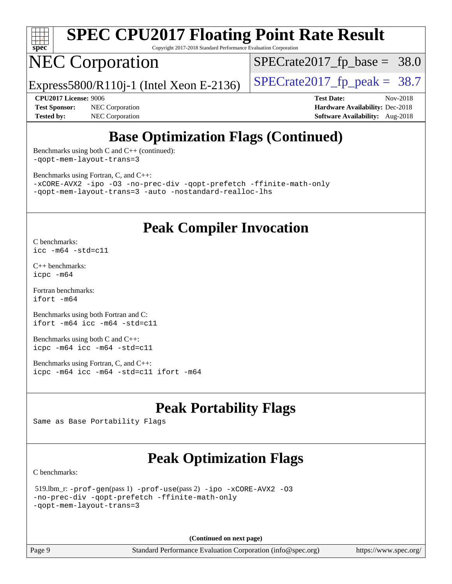

Copyright 2017-2018 Standard Performance Evaluation Corporation

## NEC Corporation

Express5800/R110j-1 (Intel Xeon E-2136)  $\vert$  [SPECrate2017\\_fp\\_peak =](http://www.spec.org/auto/cpu2017/Docs/result-fields.html#SPECrate2017fppeak) 38.7

 $SPECTate2017_fp\_base = 38.0$ 

**[Test Sponsor:](http://www.spec.org/auto/cpu2017/Docs/result-fields.html#TestSponsor)** NEC Corporation **[Hardware Availability:](http://www.spec.org/auto/cpu2017/Docs/result-fields.html#HardwareAvailability)** Dec-2018 **[Tested by:](http://www.spec.org/auto/cpu2017/Docs/result-fields.html#Testedby)** NEC Corporation **[Software Availability:](http://www.spec.org/auto/cpu2017/Docs/result-fields.html#SoftwareAvailability)** Aug-2018

**[CPU2017 License:](http://www.spec.org/auto/cpu2017/Docs/result-fields.html#CPU2017License)** 9006 **[Test Date:](http://www.spec.org/auto/cpu2017/Docs/result-fields.html#TestDate)** Nov-2018

## **[Base Optimization Flags \(Continued\)](http://www.spec.org/auto/cpu2017/Docs/result-fields.html#BaseOptimizationFlags)**

[Benchmarks using both C and C++](http://www.spec.org/auto/cpu2017/Docs/result-fields.html#BenchmarksusingbothCandCXX) (continued): [-qopt-mem-layout-trans=3](http://www.spec.org/cpu2017/results/res2018q4/cpu2017-20181210-10065.flags.html#user_CC_CXXbase_f-qopt-mem-layout-trans_de80db37974c74b1f0e20d883f0b675c88c3b01e9d123adea9b28688d64333345fb62bc4a798493513fdb68f60282f9a726aa07f478b2f7113531aecce732043)

[Benchmarks using Fortran, C, and C++:](http://www.spec.org/auto/cpu2017/Docs/result-fields.html#BenchmarksusingFortranCandCXX)

[-xCORE-AVX2](http://www.spec.org/cpu2017/results/res2018q4/cpu2017-20181210-10065.flags.html#user_CC_CXX_FCbase_f-xCORE-AVX2) [-ipo](http://www.spec.org/cpu2017/results/res2018q4/cpu2017-20181210-10065.flags.html#user_CC_CXX_FCbase_f-ipo) [-O3](http://www.spec.org/cpu2017/results/res2018q4/cpu2017-20181210-10065.flags.html#user_CC_CXX_FCbase_f-O3) [-no-prec-div](http://www.spec.org/cpu2017/results/res2018q4/cpu2017-20181210-10065.flags.html#user_CC_CXX_FCbase_f-no-prec-div) [-qopt-prefetch](http://www.spec.org/cpu2017/results/res2018q4/cpu2017-20181210-10065.flags.html#user_CC_CXX_FCbase_f-qopt-prefetch) [-ffinite-math-only](http://www.spec.org/cpu2017/results/res2018q4/cpu2017-20181210-10065.flags.html#user_CC_CXX_FCbase_f_finite_math_only_cb91587bd2077682c4b38af759c288ed7c732db004271a9512da14a4f8007909a5f1427ecbf1a0fb78ff2a814402c6114ac565ca162485bbcae155b5e4258871) [-qopt-mem-layout-trans=3](http://www.spec.org/cpu2017/results/res2018q4/cpu2017-20181210-10065.flags.html#user_CC_CXX_FCbase_f-qopt-mem-layout-trans_de80db37974c74b1f0e20d883f0b675c88c3b01e9d123adea9b28688d64333345fb62bc4a798493513fdb68f60282f9a726aa07f478b2f7113531aecce732043) [-auto](http://www.spec.org/cpu2017/results/res2018q4/cpu2017-20181210-10065.flags.html#user_CC_CXX_FCbase_f-auto) [-nostandard-realloc-lhs](http://www.spec.org/cpu2017/results/res2018q4/cpu2017-20181210-10065.flags.html#user_CC_CXX_FCbase_f_2003_std_realloc_82b4557e90729c0f113870c07e44d33d6f5a304b4f63d4c15d2d0f1fab99f5daaed73bdb9275d9ae411527f28b936061aa8b9c8f2d63842963b95c9dd6426b8a)

## **[Peak Compiler Invocation](http://www.spec.org/auto/cpu2017/Docs/result-fields.html#PeakCompilerInvocation)**

[C benchmarks](http://www.spec.org/auto/cpu2017/Docs/result-fields.html#Cbenchmarks): [icc -m64 -std=c11](http://www.spec.org/cpu2017/results/res2018q4/cpu2017-20181210-10065.flags.html#user_CCpeak_intel_icc_64bit_c11_33ee0cdaae7deeeab2a9725423ba97205ce30f63b9926c2519791662299b76a0318f32ddfffdc46587804de3178b4f9328c46fa7c2b0cd779d7a61945c91cd35)

[C++ benchmarks:](http://www.spec.org/auto/cpu2017/Docs/result-fields.html#CXXbenchmarks) [icpc -m64](http://www.spec.org/cpu2017/results/res2018q4/cpu2017-20181210-10065.flags.html#user_CXXpeak_intel_icpc_64bit_4ecb2543ae3f1412ef961e0650ca070fec7b7afdcd6ed48761b84423119d1bf6bdf5cad15b44d48e7256388bc77273b966e5eb805aefd121eb22e9299b2ec9d9)

[Fortran benchmarks](http://www.spec.org/auto/cpu2017/Docs/result-fields.html#Fortranbenchmarks): [ifort -m64](http://www.spec.org/cpu2017/results/res2018q4/cpu2017-20181210-10065.flags.html#user_FCpeak_intel_ifort_64bit_24f2bb282fbaeffd6157abe4f878425411749daecae9a33200eee2bee2fe76f3b89351d69a8130dd5949958ce389cf37ff59a95e7a40d588e8d3a57e0c3fd751)

[Benchmarks using both Fortran and C](http://www.spec.org/auto/cpu2017/Docs/result-fields.html#BenchmarksusingbothFortranandC): [ifort -m64](http://www.spec.org/cpu2017/results/res2018q4/cpu2017-20181210-10065.flags.html#user_CC_FCpeak_intel_ifort_64bit_24f2bb282fbaeffd6157abe4f878425411749daecae9a33200eee2bee2fe76f3b89351d69a8130dd5949958ce389cf37ff59a95e7a40d588e8d3a57e0c3fd751) [icc -m64 -std=c11](http://www.spec.org/cpu2017/results/res2018q4/cpu2017-20181210-10065.flags.html#user_CC_FCpeak_intel_icc_64bit_c11_33ee0cdaae7deeeab2a9725423ba97205ce30f63b9926c2519791662299b76a0318f32ddfffdc46587804de3178b4f9328c46fa7c2b0cd779d7a61945c91cd35)

[Benchmarks using both C and C++](http://www.spec.org/auto/cpu2017/Docs/result-fields.html#BenchmarksusingbothCandCXX): [icpc -m64](http://www.spec.org/cpu2017/results/res2018q4/cpu2017-20181210-10065.flags.html#user_CC_CXXpeak_intel_icpc_64bit_4ecb2543ae3f1412ef961e0650ca070fec7b7afdcd6ed48761b84423119d1bf6bdf5cad15b44d48e7256388bc77273b966e5eb805aefd121eb22e9299b2ec9d9) [icc -m64 -std=c11](http://www.spec.org/cpu2017/results/res2018q4/cpu2017-20181210-10065.flags.html#user_CC_CXXpeak_intel_icc_64bit_c11_33ee0cdaae7deeeab2a9725423ba97205ce30f63b9926c2519791662299b76a0318f32ddfffdc46587804de3178b4f9328c46fa7c2b0cd779d7a61945c91cd35)

[Benchmarks using Fortran, C, and C++:](http://www.spec.org/auto/cpu2017/Docs/result-fields.html#BenchmarksusingFortranCandCXX) [icpc -m64](http://www.spec.org/cpu2017/results/res2018q4/cpu2017-20181210-10065.flags.html#user_CC_CXX_FCpeak_intel_icpc_64bit_4ecb2543ae3f1412ef961e0650ca070fec7b7afdcd6ed48761b84423119d1bf6bdf5cad15b44d48e7256388bc77273b966e5eb805aefd121eb22e9299b2ec9d9) [icc -m64 -std=c11](http://www.spec.org/cpu2017/results/res2018q4/cpu2017-20181210-10065.flags.html#user_CC_CXX_FCpeak_intel_icc_64bit_c11_33ee0cdaae7deeeab2a9725423ba97205ce30f63b9926c2519791662299b76a0318f32ddfffdc46587804de3178b4f9328c46fa7c2b0cd779d7a61945c91cd35) [ifort -m64](http://www.spec.org/cpu2017/results/res2018q4/cpu2017-20181210-10065.flags.html#user_CC_CXX_FCpeak_intel_ifort_64bit_24f2bb282fbaeffd6157abe4f878425411749daecae9a33200eee2bee2fe76f3b89351d69a8130dd5949958ce389cf37ff59a95e7a40d588e8d3a57e0c3fd751)

## **[Peak Portability Flags](http://www.spec.org/auto/cpu2017/Docs/result-fields.html#PeakPortabilityFlags)**

Same as Base Portability Flags

## **[Peak Optimization Flags](http://www.spec.org/auto/cpu2017/Docs/result-fields.html#PeakOptimizationFlags)**

[C benchmarks](http://www.spec.org/auto/cpu2017/Docs/result-fields.html#Cbenchmarks):

```
 519.lbm_r: -prof-gen(pass 1) -prof-use(pass 2) -ipo -xCORE-AVX2 -O3
-no-prec-div -qopt-prefetch -ffinite-math-only
-qopt-mem-layout-trans=3
```
**(Continued on next page)**

Page 9 Standard Performance Evaluation Corporation [\(info@spec.org\)](mailto:info@spec.org) <https://www.spec.org/>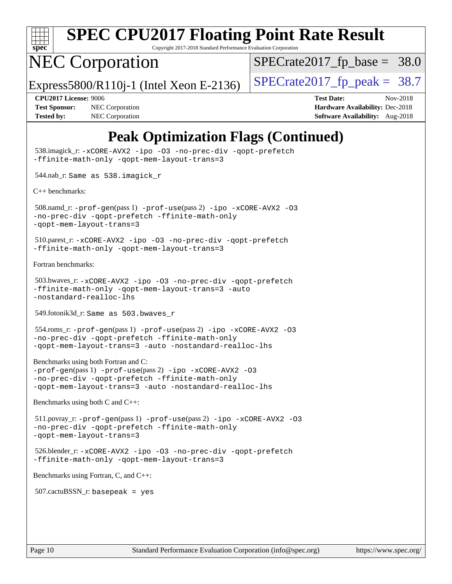

Copyright 2017-2018 Standard Performance Evaluation Corporation

## NEC Corporation

 $SPECTate2017_fp\_base = 38.0$ 

Express5800/R110j-1 (Intel Xeon E-2136)  $\vert$  [SPECrate2017\\_fp\\_peak =](http://www.spec.org/auto/cpu2017/Docs/result-fields.html#SPECrate2017fppeak) 38.7

**[Tested by:](http://www.spec.org/auto/cpu2017/Docs/result-fields.html#Testedby)** NEC Corporation **[Software Availability:](http://www.spec.org/auto/cpu2017/Docs/result-fields.html#SoftwareAvailability)** Aug-2018

**[CPU2017 License:](http://www.spec.org/auto/cpu2017/Docs/result-fields.html#CPU2017License)** 9006 **[Test Date:](http://www.spec.org/auto/cpu2017/Docs/result-fields.html#TestDate)** Nov-2018 **[Test Sponsor:](http://www.spec.org/auto/cpu2017/Docs/result-fields.html#TestSponsor)** NEC Corporation **[Hardware Availability:](http://www.spec.org/auto/cpu2017/Docs/result-fields.html#HardwareAvailability)** Dec-2018

## **[Peak Optimization Flags \(Continued\)](http://www.spec.org/auto/cpu2017/Docs/result-fields.html#PeakOptimizationFlags)**

```
 538.imagick_r: -xCORE-AVX2 -ipo -O3 -no-prec-div -qopt-prefetch
-ffinite-math-only -qopt-mem-layout-trans=3
 544.nab_r: Same as 538.imagick_r
C++ benchmarks: 
 508.namd_r: -prof-gen(pass 1) -prof-use(pass 2) -ipo -xCORE-AVX2 -O3
-no-prec-div -qopt-prefetch -ffinite-math-only
-qopt-mem-layout-trans=3
 510.parest_r: -xCORE-AVX2 -ipo -O3 -no-prec-div -qopt-prefetch
-ffinite-math-only -qopt-mem-layout-trans=3
Fortran benchmarks: 
 503.bwaves_r: -xCORE-AVX2 -ipo -O3 -no-prec-div -qopt-prefetch
-ffinite-math-only -qopt-mem-layout-trans=3 -auto
-nostandard-realloc-lhs
 549.fotonik3d_r: Same as 503.bwaves_r
 554.roms_r: -prof-gen(pass 1) -prof-use(pass 2) -ipo -xCORE-AVX2 -O3
-no-prec-div -qopt-prefetch -ffinite-math-only
-qopt-mem-layout-trans=3 -auto -nostandard-realloc-lhs
Benchmarks using both Fortran and C: 
-prof-gen(pass 1) -prof-use(pass 2) -ipo -xCORE-AVX2 -O3
-no-prec-div -qopt-prefetch -ffinite-math-only
-qopt-mem-layout-trans=3 -auto -nostandard-realloc-lhs
Benchmarks using both C and C++: 
 511.povray_r: -prof-gen(pass 1) -prof-use(pass 2) -ipo -xCORE-AVX2 -O3
-no-prec-div -qopt-prefetch -ffinite-math-only
-qopt-mem-layout-trans=3
 526.blender_r: -xCORE-AVX2 -ipo -O3 -no-prec-div -qopt-prefetch
-ffinite-math-only -qopt-mem-layout-trans=3
Benchmarks using Fortran, C, and C++: 
 507.cactuBSSN_r: basepeak = yes
```